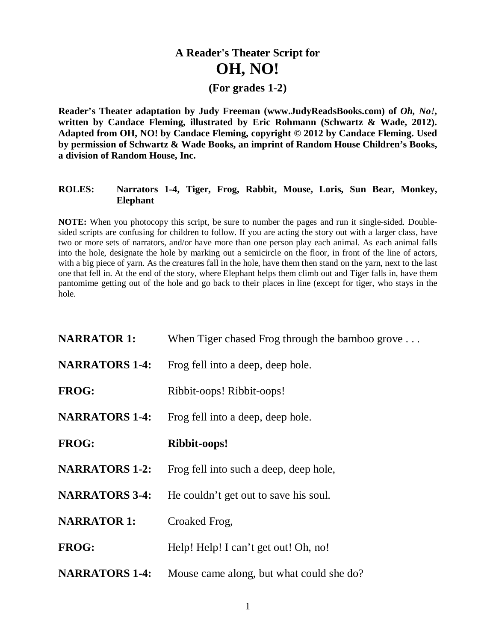## **A Reader's Theater Script for OH, NO!**

## **(For grades 1-2)**

**Reader's Theater adaptation by Judy Freeman (www.JudyReadsBooks.com) of** *Oh, No!***, written by Candace Fleming, illustrated by Eric Rohmann (Schwartz & Wade, 2012). Adapted from OH, NO! by Candace Fleming, copyright © 2012 by Candace Fleming. Used by permission of Schwartz & Wade Books, an imprint of Random House Children's Books, a division of Random House, Inc.**

## **ROLES: Narrators 1-4, Tiger, Frog, Rabbit, Mouse, Loris, Sun Bear, Monkey, Elephant**

**NOTE:** When you photocopy this script, be sure to number the pages and run it single-sided. Doublesided scripts are confusing for children to follow. If you are acting the story out with a larger class, have two or more sets of narrators, and/or have more than one person play each animal. As each animal falls into the hole, designate the hole by marking out a semicircle on the floor, in front of the line of actors, with a big piece of yarn. As the creatures fall in the hole, have them then stand on the yarn, next to the last one that fell in. At the end of the story, where Elephant helps them climb out and Tiger falls in, have them pantomime getting out of the hole and go back to their places in line (except for tiger, who stays in the hole.

| <b>NARRATOR 1:</b>    | When Tiger chased Frog through the bamboo grove $\dots$ |
|-----------------------|---------------------------------------------------------|
| <b>NARRATORS 1-4:</b> | Frog fell into a deep, deep hole.                       |
| <b>FROG:</b>          | Ribbit-oops! Ribbit-oops!                               |
| <b>NARRATORS 1-4:</b> | Frog fell into a deep, deep hole.                       |
| FROG:                 | Ribbit-oops!                                            |
| <b>NARRATORS 1-2:</b> | Frog fell into such a deep, deep hole,                  |
| <b>NARRATORS 3-4:</b> | He couldn't get out to save his soul.                   |
| <b>NARRATOR 1:</b>    | Croaked Frog,                                           |
| <b>FROG:</b>          | Help! Help! I can't get out! Oh, no!                    |
| <b>NARRATORS 1-4:</b> | Mouse came along, but what could she do?                |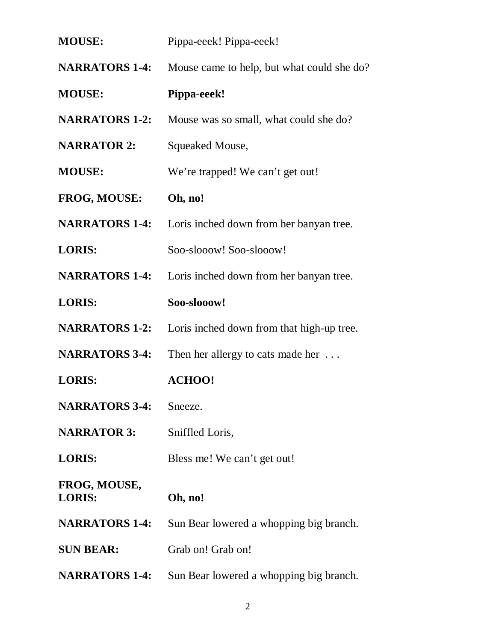| <b>MOUSE:</b>                 | Pippa-eeek! Pippa-eeek!                    |
|-------------------------------|--------------------------------------------|
| <b>NARRATORS 1-4:</b>         | Mouse came to help, but what could she do? |
| <b>MOUSE:</b>                 | Pippa-eeek!                                |
| <b>NARRATORS 1-2:</b>         | Mouse was so small, what could she do?     |
| <b>NARRATOR 2:</b>            | Squeaked Mouse,                            |
| <b>MOUSE:</b>                 | We're trapped! We can't get out!           |
| <b>FROG, MOUSE:</b>           | Oh, no!                                    |
| <b>NARRATORS 1-4:</b>         | Loris inched down from her banyan tree.    |
| <b>LORIS:</b>                 | Soo-slooow! Soo-slooow!                    |
| <b>NARRATORS 1-4:</b>         | Loris inched down from her banyan tree.    |
| <b>LORIS:</b>                 | Soo-slooow!                                |
| <b>NARRATORS 1-2:</b>         | Loris inched down from that high-up tree.  |
| <b>NARRATORS 3-4:</b>         | Then her allergy to cats made her $\dots$  |
| <b>LORIS:</b>                 | <b>ACHOO!</b>                              |
| <b>NARRATORS 3-4:</b>         | Sneeze.                                    |
| <b>NARRATOR 3:</b>            | Sniffled Loris,                            |
| <b>LORIS:</b>                 | Bless me! We can't get out!                |
| FROG, MOUSE,<br><b>LORIS:</b> | Oh, no!                                    |
| <b>NARRATORS 1-4:</b>         | Sun Bear lowered a whopping big branch.    |
| <b>SUN BEAR:</b>              | Grab on! Grab on!                          |
| <b>NARRATORS 1-4:</b>         | Sun Bear lowered a whopping big branch.    |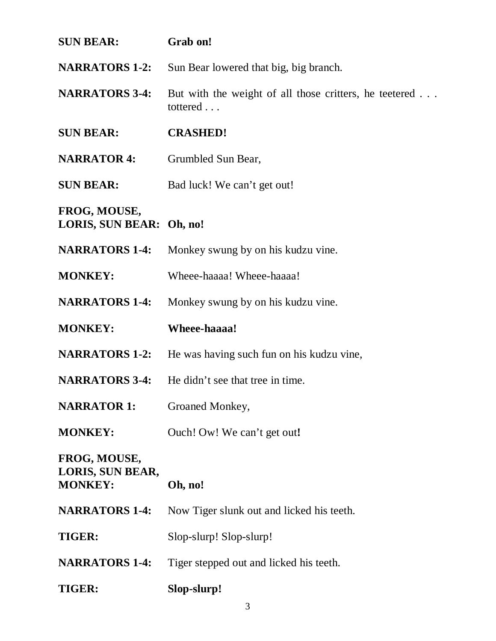| <b>SUN BEAR:</b>                                   | Grab on!                                                           |
|----------------------------------------------------|--------------------------------------------------------------------|
| <b>NARRATORS 1-2:</b>                              | Sun Bear lowered that big, big branch.                             |
| <b>NARRATORS 3-4:</b>                              | But with the weight of all those critters, he teetered<br>tottered |
| <b>SUN BEAR:</b>                                   | <b>CRASHED!</b>                                                    |
| <b>NARRATOR 4:</b>                                 | Grumbled Sun Bear,                                                 |
| <b>SUN BEAR:</b>                                   | Bad luck! We can't get out!                                        |
| FROG, MOUSE,<br>LORIS, SUN BEAR: Oh, no!           |                                                                    |
| <b>NARRATORS 1-4:</b>                              | Monkey swung by on his kudzu vine.                                 |
| <b>MONKEY:</b>                                     | Wheee-haaaa! Wheee-haaaa!                                          |
| <b>NARRATORS 1-4:</b>                              | Monkey swung by on his kudzu vine.                                 |
|                                                    |                                                                    |
| <b>MONKEY:</b>                                     | Wheee-haaaa!                                                       |
| <b>NARRATORS 1-2:</b>                              | He was having such fun on his kudzu vine,                          |
| <b>NARRATORS 3-4:</b>                              | He didn't see that tree in time.                                   |
| <b>NARRATOR 1:</b>                                 | Groaned Monkey,                                                    |
| <b>MONKEY:</b>                                     | Ouch! Ow! We can't get out!                                        |
| FROG, MOUSE,<br>LORIS, SUN BEAR,<br><b>MONKEY:</b> | Oh, no!                                                            |
| <b>NARRATORS 1-4:</b>                              | Now Tiger slunk out and licked his teeth.                          |
| <b>TIGER:</b>                                      | Slop-slurp! Slop-slurp!                                            |
| <b>NARRATORS 1-4:</b>                              | Tiger stepped out and licked his teeth.                            |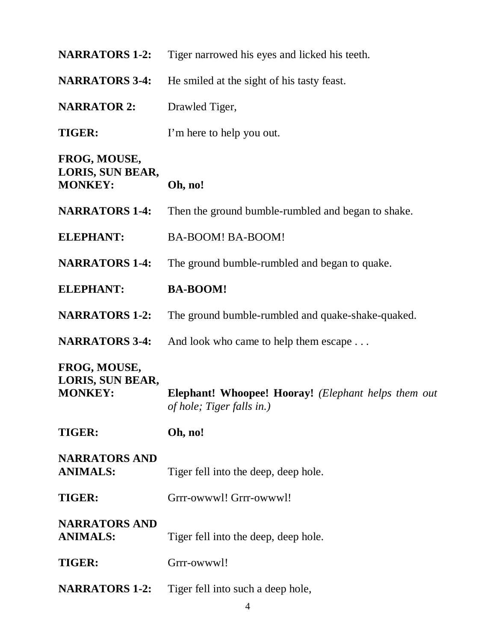| <b>NARRATORS 1-2:</b>                              | Tiger narrowed his eyes and licked his teeth.                                           |
|----------------------------------------------------|-----------------------------------------------------------------------------------------|
| <b>NARRATORS 3-4:</b>                              | He smiled at the sight of his tasty feast.                                              |
| <b>NARRATOR 2:</b>                                 | Drawled Tiger,                                                                          |
| <b>TIGER:</b>                                      | I'm here to help you out.                                                               |
| FROG, MOUSE,<br>LORIS, SUN BEAR,<br><b>MONKEY:</b> | Oh, no!                                                                                 |
| <b>NARRATORS 1-4:</b>                              | Then the ground bumble-rumbled and began to shake.                                      |
| <b>ELEPHANT:</b>                                   | BA-BOOM! BA-BOOM!                                                                       |
| <b>NARRATORS 1-4:</b>                              | The ground bumble-rumbled and began to quake.                                           |
| <b>ELEPHANT:</b>                                   | <b>BA-BOOM!</b>                                                                         |
| <b>NARRATORS 1-2:</b>                              | The ground bumble-rumbled and quake-shake-quaked.                                       |
| <b>NARRATORS 3-4:</b>                              | And look who came to help them escape                                                   |
| FROG, MOUSE,<br>LORIS, SUN BEAR,<br><b>MONKEY:</b> | <b>Elephant! Whoopee! Hooray!</b> (Elephant helps them out<br>of hole; Tiger falls in.) |
| <b>TIGER:</b>                                      | Oh, no!                                                                                 |
| <b>NARRATORS AND</b><br><b>ANIMALS:</b>            | Tiger fell into the deep, deep hole.                                                    |
| <b>TIGER:</b>                                      | Grrr-owwwl! Grrr-owwwl!                                                                 |
| <b>NARRATORS AND</b><br><b>ANIMALS:</b>            | Tiger fell into the deep, deep hole.                                                    |
| <b>TIGER:</b>                                      | Grrr-owwwl!                                                                             |
| <b>NARRATORS 1-2:</b>                              | Tiger fell into such a deep hole,                                                       |